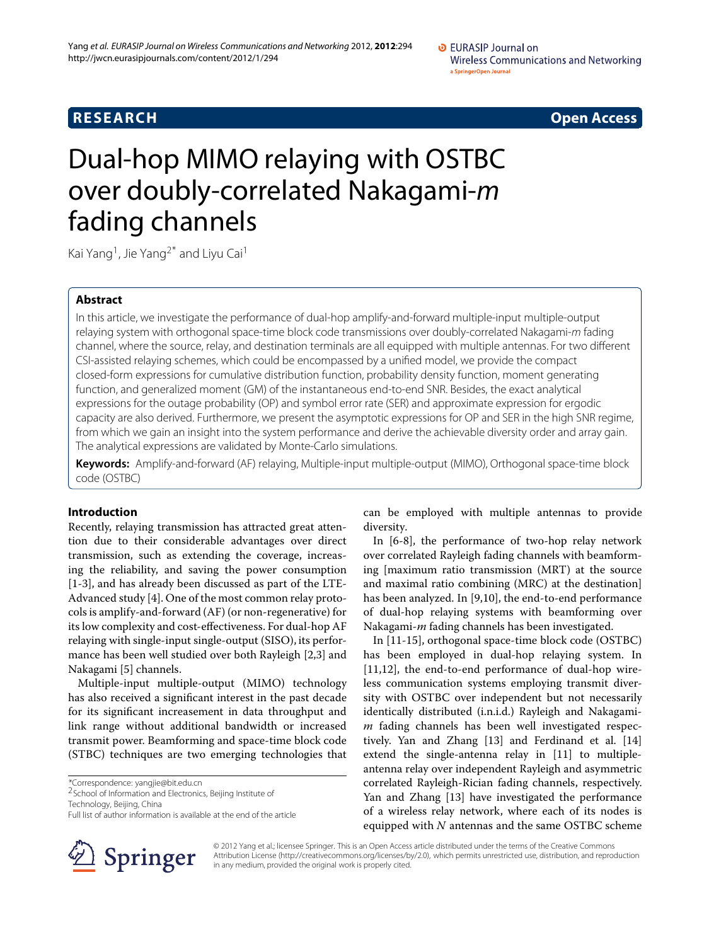**RESEARCH Open Access**

# Dual-hop MIMO relaying with OSTBC over doubly-correlated Nakagami-*m* fading channels

Kai Yang<sup>1</sup>, Jie Yang<sup>2\*</sup> and Liyu Cai<sup>1</sup>

# **Abstract**

In this article, we investigate the performance of dual-hop amplify-and-forward multiple-input multiple-output relaying system with orthogonal space-time block code transmissions over doubly-correlated Nakagami-*m* fading channel, where the source, relay, and destination terminals are all equipped with multiple antennas. For two different CSI-assisted relaying schemes, which could be encompassed by a unified model, we provide the compact closed-form expressions for cumulative distribution function, probability density function, moment generating function, and generalized moment (GM) of the instantaneous end-to-end SNR. Besides, the exact analytical expressions for the outage probability (OP) and symbol error rate (SER) and approximate expression for ergodic capacity are also derived. Furthermore, we present the asymptotic expressions for OP and SER in the high SNR regime, from which we gain an insight into the system performance and derive the achievable diversity order and array gain. The analytical expressions are validated by Monte-Carlo simulations.

**Keywords:** Amplify-and-forward (AF) relaying, Multiple-input multiple-output (MIMO), Orthogonal space-time block code (OSTBC)

# **Introduction**

Recently, relaying transmission has attracted great attention due to their considerable advantages over direct transmission, such as extending the coverage, increasing the reliability, and saving the power consumption [\[1](#page-12-0)[-3\]](#page-12-1), and has already been discussed as part of the LTE-Advanced study [\[4\]](#page-12-2). One of the most common relay protocols is amplify-and-forward (AF) (or non-regenerative) for its low complexity and cost-effectiveness. For dual-hop AF relaying with single-input single-output (SISO), its performance has been well studied over both Rayleigh [\[2,](#page-12-3)[3\]](#page-12-1) and Nakagami [\[5\]](#page-12-4) channels.

Multiple-input multiple-output (MIMO) technology has also received a significant interest in the past decade for its significant increasement in data throughput and link range without additional bandwidth or increased transmit power. Beamforming and space-time block code (STBC) techniques are two emerging technologies that

Technology, Beijing, China

can be employed with multiple antennas to provide diversity.

In [\[6-](#page-12-5)[8\]](#page-12-6), the performance of two-hop relay network over correlated Rayleigh fading channels with beamforming [maximum ratio transmission (MRT) at the source and maximal ratio combining (MRC) at the destination] has been analyzed. In [\[9,](#page-12-7)[10\]](#page-12-8), the end-to-end performance of dual-hop relaying systems with beamforming over Nakagami-*m* fading channels has been investigated.

In [\[11-](#page-12-9)[15\]](#page-12-10), orthogonal space-time block code (OSTBC) has been employed in dual-hop relaying system. In [\[11,](#page-12-9)[12\]](#page-12-11), the end-to-end performance of dual-hop wireless communication systems employing transmit diversity with OSTBC over independent but not necessarily identically distributed (i.n.i.d.) Rayleigh and Nakagami*m* fading channels has been well investigated respectively. Yan and Zhang [\[13\]](#page-12-12) and Ferdinand et al. [\[14\]](#page-12-13) extend the single-antenna relay in [\[11\]](#page-12-9) to multipleantenna relay over independent Rayleigh and asymmetric correlated Rayleigh-Rician fading channels, respectively. Yan and Zhang [\[13\]](#page-12-12) have investigated the performance of a wireless relay network, where each of its nodes is equipped with *N* antennas and the same OSTBC scheme



© 2012 Yang et al.; licensee Springer. This is an Open Access article distributed under the terms of the Creative Commons Attribution License (http://creativecommons.org/licenses/by/2.0), which permits unrestricted use, distribution, and reproduction in any medium, provided the original work is properly cited.

<sup>\*</sup>Correspondence: yangjie@bit.edu.cn 2School of Information and Electronics, Beijing Institute of

Full list of author information is available at the end of the article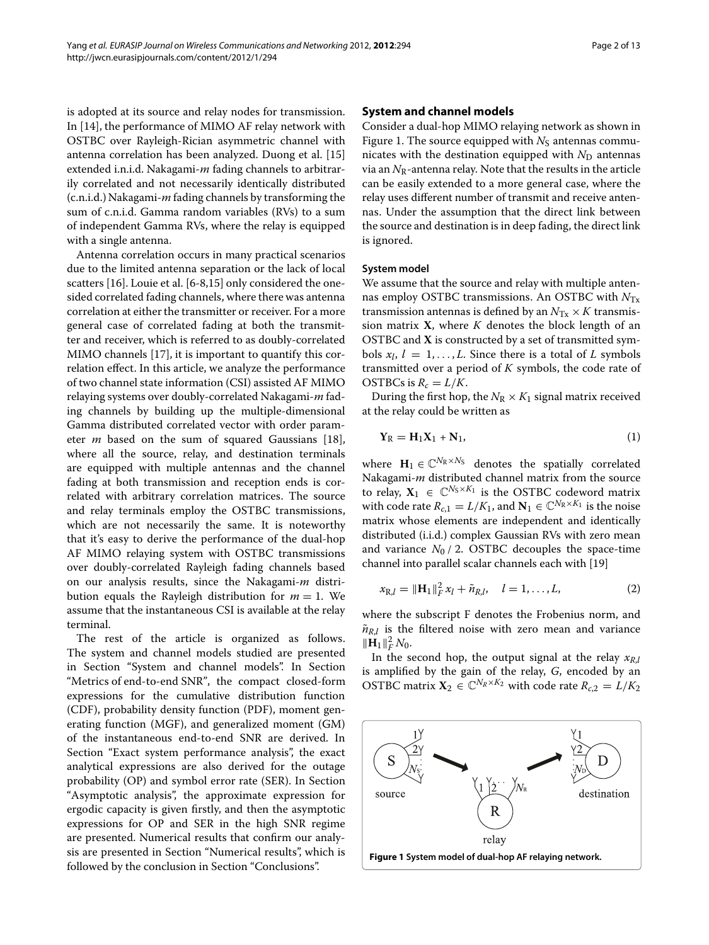is adopted at its source and relay nodes for transmission. In [\[14\]](#page-12-13), the performance of MIMO AF relay network with OSTBC over Rayleigh-Rician asymmetric channel with antenna correlation has been analyzed. Duong et al. [\[15\]](#page-12-10) extended i.n.i.d. Nakagami-*m* fading channels to arbitrarily correlated and not necessarily identically distributed (c.n.i.d.) Nakagami-*m* fading channels by transforming the sum of c.n.i.d. Gamma random variables (RVs) to a sum of independent Gamma RVs, where the relay is equipped with a single antenna.

Antenna correlation occurs in many practical scenarios due to the limited antenna separation or the lack of local scatters [\[16\]](#page-12-14). Louie et al. [\[6](#page-12-5)[-8,](#page-12-6)[15\]](#page-12-10) only considered the onesided correlated fading channels, where there was antenna correlation at either the transmitter or receiver. For a more general case of correlated fading at both the transmitter and receiver, which is referred to as doubly-correlated MIMO channels [\[17\]](#page-12-15), it is important to quantify this correlation effect. In this article, we analyze the performance of two channel state information (CSI) assisted AF MIMO relaying systems over doubly-correlated Nakagami-*m* fading channels by building up the multiple-dimensional Gamma distributed correlated vector with order parameter *m* based on the sum of squared Gaussians [\[18\]](#page-12-16), where all the source, relay, and destination terminals are equipped with multiple antennas and the channel fading at both transmission and reception ends is correlated with arbitrary correlation matrices. The source and relay terminals employ the OSTBC transmissions, which are not necessarily the same. It is noteworthy that it's easy to derive the performance of the dual-hop AF MIMO relaying system with OSTBC transmissions over doubly-correlated Rayleigh fading channels based on our analysis results, since the Nakagami-*m* distribution equals the Rayleigh distribution for  $m = 1$ . We assume that the instantaneous CSI is available at the relay terminal.

The rest of the article is organized as follows. The system and channel models studied are presented in Section ["System and channel models"](#page-1-0). In Section ["Metrics of end-to-end SNR"](#page-3-0), the compact closed-form expressions for the cumulative distribution function (CDF), probability density function (PDF), moment generating function (MGF), and generalized moment (GM) of the instantaneous end-to-end SNR are derived. In Section ["Exact system performance analysis"](#page-4-0), the exact analytical expressions are also derived for the outage probability (OP) and symbol error rate (SER). In Section ["Asymptotic analysis"](#page-5-0), the approximate expression for ergodic capacity is given firstly, and then the asymptotic expressions for OP and SER in the high SNR regime are presented. Numerical results that confirm our analysis are presented in Section ["Numerical results"](#page-6-0), which is followed by the conclusion in Section ["Conclusions"](#page-11-0).

# <span id="page-1-0"></span>**System and channel models**

Consider a dual-hop MIMO relaying network as shown in Figure [1.](#page-1-1) The source equipped with  $N<sub>S</sub>$  antennas communicates with the destination equipped with  $N_D$  antennas via an  $N_R$ -antenna relay. Note that the results in the article can be easily extended to a more general case, where the relay uses different number of transmit and receive antennas. Under the assumption that the direct link between the source and destination is in deep fading, the direct link is ignored.

# **System model**

We assume that the source and relay with multiple antennas employ OSTBC transmissions. An OSTBC with *N*Tx transmission antennas is defined by an  $N_{\text{Tx}} \times K$  transmission matrix **X**, where *K* denotes the block length of an OSTBC and **X** is constructed by a set of transmitted symbols  $x_l$ ,  $l = 1, \ldots, L$ . Since there is a total of *L* symbols transmitted over a period of *K* symbols, the code rate of OSTBCs is  $R_c = L/K$ .

During the first hop, the  $N_R \times K_1$  signal matrix received at the relay could be written as

$$
\mathbf{Y}_{\mathrm{R}} = \mathbf{H}_1 \mathbf{X}_1 + \mathbf{N}_1, \tag{1}
$$

where  $\mathbf{H}_1 \in \mathbb{C}^{N_R \times N_S}$  denotes the spatially correlated Nakagami-*m* distributed channel matrix from the source to relay,  $X_1 \in \mathbb{C}^{N_S \times K_1}$  is the OSTBC codeword matrix with code rate  $R_{c,1} = L/K_1$ , and  $N_1 \in \mathbb{C}^{N_R \times K_1}$  is the noise matrix whose elements are independent and identically distributed (i.i.d.) complex Gaussian RVs with zero mean and variance  $N_0$  / 2. OSTBC decouples the space-time channel into parallel scalar channels each with [\[19\]](#page-12-17)

<span id="page-1-2"></span>
$$
x_{R,l} = ||\mathbf{H}_1||_F^2 x_l + \tilde{n}_{R,l}, \quad l = 1, \dots, L,
$$
 (2)

where the subscript F denotes the Frobenius norm, and  $\tilde{n}_{R,l}$  is the filtered noise with zero mean and variance  $\|\mathbf{H}_1\|_F^2 N_0.$ 

In the second hop, the output signal at the relay  $x_{R,l}$ is amplified by the gain of the relay, *G*, encoded by an OSTBC matrix  $\mathbf{X}_2 \in \mathbb{C}^{N_R \times K_2}$  with code rate  $R_{c,2} = L/K_2$ 

<span id="page-1-1"></span>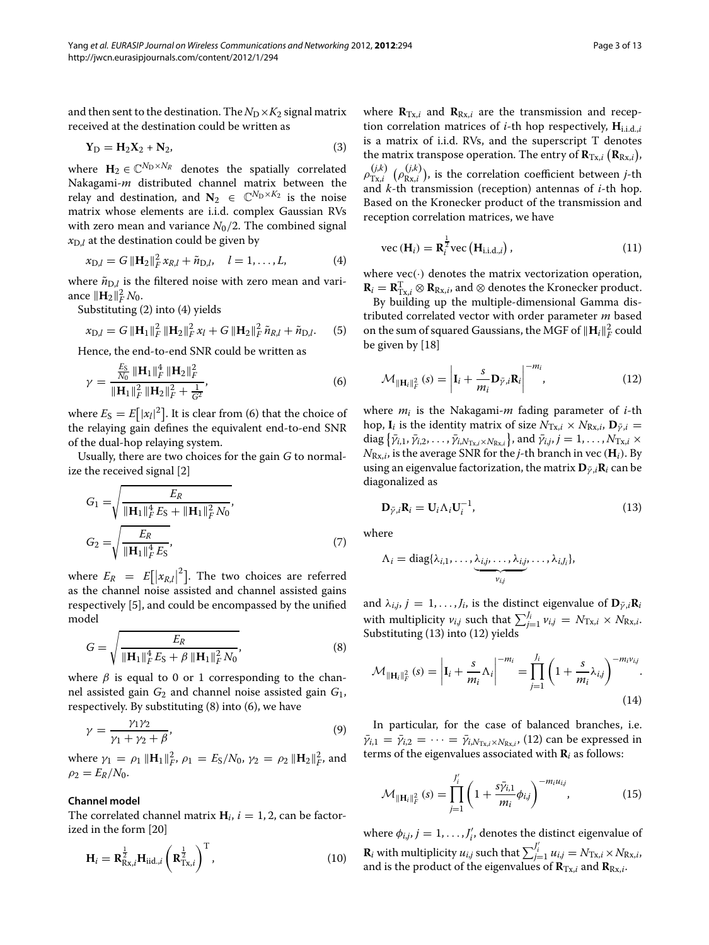and then sent to the destination. The  $N_D \times K_2$  signal matrix received at the destination could be written as

$$
Y_D = H_2 X_2 + N_2,\tag{3}
$$

where  $\mathbf{H}_2 \in \mathbb{C}^{N_D \times N_R}$  denotes the spatially correlated Nakagami-*m* distributed channel matrix between the relay and destination, and  $N_2 \in \mathbb{C}^{N_{\text{D}} \times K_2}$  is the noise matrix whose elements are i.i.d. complex Gaussian RVs with zero mean and variance  $N_0/2$ . The combined signal  $x_{D,l}$  at the destination could be given by

$$
x_{D,l} = G \|\mathbf{H}_2\|_F^2 x_{R,l} + \tilde{n}_{D,l}, \quad l = 1, \dots, L,
$$
 (4)

where  $\tilde{n}_{D,l}$  is the filtered noise with zero mean and variance  $\|\mathbf{H}_2\|_F^2 N_0$ .

Substituting [\(2\)](#page-1-2) into [\(4\)](#page-2-0) yields

$$
x_{D,l} = G \| \mathbf{H}_1 \|_F^2 \| \mathbf{H}_2 \|_F^2 x_l + G \| \mathbf{H}_2 \|_F^2 \tilde{n}_{R,l} + \tilde{n}_{D,l}. \tag{5}
$$

Hence, the end-to-end SNR could be written as

$$
\gamma = \frac{\frac{E_S}{N_0} \|\mathbf{H}_1\|_F^4 \|\mathbf{H}_2\|_F^2}{\|\mathbf{H}_1\|_F^2 \|\mathbf{H}_2\|_F^2 + \frac{1}{G^2}},\tag{6}
$$

where  $E_S = E[|x_l|^2]$ . It is clear from [\(6\)](#page-2-1) that the choice of the relaying gain defines the equivalent end-to-end SNR of the dual-hop relaying system.

Usually, there are two choices for the gain *G* to normalize the received signal [\[2\]](#page-12-3)

$$
G_1 = \sqrt{\frac{E_R}{\|\mathbf{H}_1\|_F^4 E_S + \|\mathbf{H}_1\|_F^2 N_0}},
$$
  
\n
$$
G_2 = \sqrt{\frac{E_R}{\|\mathbf{H}_1\|_F^4 E_S}},
$$
\n(7)

where  $E_R = E[|x_{R,l}|^2]$ . The two choices are referred as the channel noise assisted and channel assisted gains respectively [\[5\]](#page-12-4), and could be encompassed by the unified model

$$
G = \sqrt{\frac{E_R}{\|\mathbf{H}_1\|_F^4 E_S + \beta \|\mathbf{H}_1\|_F^2 N_0}},\tag{8}
$$

where  $\beta$  is equal to 0 or 1 corresponding to the channel assisted gain *G*<sup>2</sup> and channel noise assisted gain *G*1, respectively. By substituting [\(8\)](#page-2-2) into [\(6\)](#page-2-1), we have

$$
\gamma = \frac{\gamma_1 \gamma_2}{\gamma_1 + \gamma_2 + \beta},\tag{9}
$$

where  $\gamma_1 = \rho_1 \|\mathbf{H}_1\|_F^2$ ,  $\rho_1 = E_S/N_0$ ,  $\gamma_2 = \rho_2 \|\mathbf{H}_2\|_F^2$ , and  $\rho_2 = E_R/N_0.$ 

### **Channel model**

The correlated channel matrix  $H_i$ ,  $i = 1, 2$ , can be factorized in the form [\[20\]](#page-12-18)

$$
\mathbf{H}_{i} = \mathbf{R}_{\mathrm{Rx},i}^{\frac{1}{2}} \mathbf{H}_{\mathrm{iid},i} \left( \mathbf{R}_{\mathrm{Tx},i}^{\frac{1}{2}} \right)^{\mathrm{T}}, \qquad (10)
$$

where  $\mathbf{R}_{Tx,i}$  and  $\mathbf{R}_{Rx,i}$  are the transmission and reception correlation matrices of *i*-th hop respectively, **H**i.i.d.,*<sup>i</sup>* is a matrix of i.i.d. RVs, and the superscript T denotes the matrix transpose operation. The entry of  $\mathbf{R}_{\mathrm{Tx},i}\left(\mathbf{R}_{\mathrm{Rx},i}\right)$ ,  $\rho_{\mathrm{Tx},i}^{(j,k)}$   $(\rho_{\mathrm{Rx},i}^{(j,k)}),$  is the correlation coefficient between *j*-th and *k*-th transmission (reception) antennas of *i*-th hop. Based on the Kronecker product of the transmission and reception correlation matrices, we have

$$
\text{vec}(\mathbf{H}_i) = \mathbf{R}_i^{\frac{1}{2}} \text{vec}\left(\mathbf{H}_{i.i.d.,i}\right),\tag{11}
$$

<span id="page-2-0"></span>where  $\text{vec}(\cdot)$  denotes the matrix vectorization operation,  $\mathbf{R}_i = \mathbf{R}_{\mathrm{Tx},i}^{\mathrm{T}} \otimes \mathbf{R}_{\mathrm{Rx},i}$ , and  $\otimes$  denotes the Kronecker product.

By building up the multiple-dimensional Gamma distributed correlated vector with order parameter *m* based on the sum of squared Gaussians, the MGF of  $\|\mathbf{H}_{i}\|_{F}^{2}$  could be given by [\[18\]](#page-12-16)

<span id="page-2-4"></span>
$$
\mathcal{M}_{\|\mathbf{H}_{i}\|_{F}^{2}}(s) = \left|\mathbf{I}_{i} + \frac{s}{m_{i}}\mathbf{D}_{\bar{\gamma},i}\mathbf{R}_{i}\right|^{-m_{i}},\tag{12}
$$

<span id="page-2-1"></span>where *mi* is the Nakagami-*m* fading parameter of *i*-th hop, **I**<sub>*i*</sub> is the identity matrix of size  $N_{\text{Tx},i} \times N_{\text{Rx},i}$ ,  $\mathbf{D}_{\bar{y},i} =$  $\{\bar{\gamma}_{i,1}, \bar{\gamma}_{i,2}, \ldots, \bar{\gamma}_{i,N_{\text{Tx},i} \times N_{\text{Rx},i}}\}$ , and  $\bar{\gamma}_{i,j}, j = 1, \ldots, N_{\text{Tx},i} \times I$  $N_{\text{Rx},i}$ , is the average SNR for the *j*-th branch in vec ( $\mathbf{H}_i$ ). By using an eigenvalue factorization, the matrix  $D_{\bar{V},i}$ **R***i* can be diagonalized as

<span id="page-2-3"></span>
$$
\mathbf{D}_{\bar{\gamma},i}\mathbf{R}_i = \mathbf{U}_i \Lambda_i \mathbf{U}_i^{-1},\tag{13}
$$

where

$$
\Lambda_i = \mathrm{diag}\{\lambda_{i,1},\ldots,\underbrace{\lambda_{i,j},\ldots,\lambda_{i,j}}_{v_{i,j}},\ldots,\lambda_{i,J_i}\},\,
$$

and  $\lambda_{i,j}$ ,  $j = 1, \ldots, J_i$ , is the distinct eigenvalue of  $\mathbf{D}_{\bar{\gamma},i} \mathbf{R}_i$ with multiplicity  $v_{i,j}$  such that  $\sum_{j=1}^{J_i} v_{i,j} = N_{\text{Tx},i} \times N_{\text{Rx},i}$ .<br>Substituting [\(13\)](#page-2-3) into [\(12\)](#page-2-4) yields

<span id="page-2-5"></span><span id="page-2-2"></span>
$$
\mathcal{M}_{\|\mathbf{H}_{i}\|_{F}^{2}}(s) = \left|\mathbf{I}_{i} + \frac{s}{m_{i}}\boldsymbol{\Lambda}_{i}\right|^{-m_{i}} = \prod_{j=1}^{J_{i}}\left(1 + \frac{s}{m_{i}}\lambda_{i,j}\right)^{-m_{i}v_{i,j}}.
$$
\n(14)

<span id="page-2-6"></span>In particular, for the case of balanced branches, i.e.  $\bar{\gamma}_{i,1} = \bar{\gamma}_{i,2} = \cdots = \bar{\gamma}_{i,N_{\text{Tx},i} \times N_{\text{Rx},i}}$ , [\(12\)](#page-2-4) can be expressed in terms of the eigenvalues associated with **R***<sup>i</sup>* as follows:

$$
\mathcal{M}_{\|\mathbf{H}_{i}\|_{F}^{2}}(s) = \prod_{j=1}^{J_{i}'} \left(1 + \frac{s\bar{\gamma}_{i,1}}{m_{i}}\phi_{i,j}\right)^{-m_{i}u_{i,j}},
$$
(15)

where  $\phi_{i,j}, j = 1, \ldots, J'_i$ , denotes the distinct eigenvalue of  $\mathbf{R}_i$  with multiplicity  $u_{i,j}$  such that  $\sum_{j=1}^{J'_i} u_{i,j} = N_{\text{Tx},i} \times N_{\text{Rx},i}$ , and is the product of the eigenvalues of  $\mathbf{R}_{\mathrm{Tx},i}$  and  $\mathbf{R}_{\mathrm{Rx},i}$ .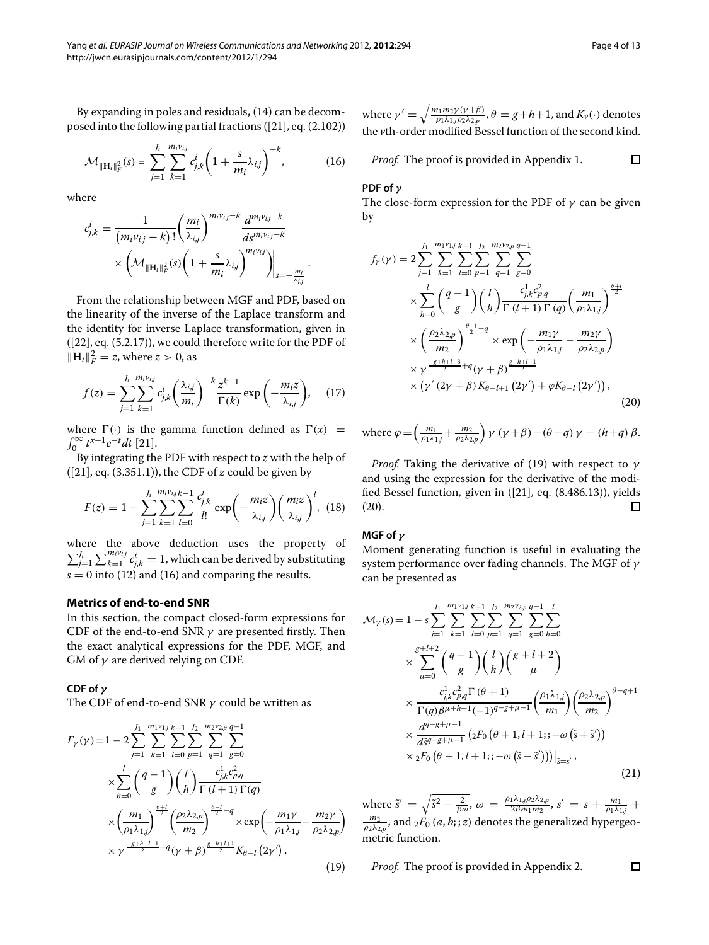By expanding in poles and residuals, [\(14\)](#page-2-5) can be decomposed into the following partial fractions ([\[21\]](#page-12-19), eq. (2.102))

$$
\mathcal{M}_{\|\mathbf{H}_{i}\|_{F}^{2}}(s) = \sum_{j=1}^{J_{i}} \sum_{k=1}^{m_{i}v_{i,j}} c_{j,k}^{i} \left(1 + \frac{s}{m_{i}} \lambda_{i,j}\right)^{-k},
$$
(16)

where

$$
c_{j,k}^i = \frac{1}{(m_i \nu_{i,j} - k)!} \left(\frac{m_i}{\lambda_{i,j}}\right)^{m_i \nu_{i,j} - k} \frac{d^{m_i \nu_{i,j} - k}}{ds^{m_i \nu_{i,j} - k}} \\ \times \left(\mathcal{M}_{\|\mathbf{H}_i\|_F^2}(s) \left(1 + \frac{s}{m_i} \lambda_{i,j}\right)^{m_i \nu_{i,j}}\right)\Big|_{s = -\frac{m_i}{\lambda_{i,j}}}.
$$

From the relationship between MGF and PDF, based on the linearity of the inverse of the Laplace transform and the identity for inverse Laplace transformation, given in ([\[22\]](#page-12-20), eq. (5.2.17)), we could therefore write for the PDF of  $||H_i||_F^2 = z$ , where  $z > 0$ , as

$$
f(z) = \sum_{j=1}^{J_i} \sum_{k=1}^{m_i v_{i,j}} c_{j,k}^i \left(\frac{\lambda_{i,j}}{m_i}\right)^{-k} \frac{z^{k-1}}{\Gamma(k)} \exp\left(-\frac{m_i z}{\lambda_{i,j}}\right), \quad (17)
$$

where  $\Gamma(\cdot)$  is the gamma function defined as  $\Gamma(x)$  = <sup>0</sup> *<sup>t</sup>x*−1*e*−*<sup>t</sup> dt* [\[21\]](#page-12-19).

By integrating the PDF with respect to *z* with the help of ([\[21\]](#page-12-19), eq. (3.351.1)), the CDF of *z* could be given by

$$
F(z) = 1 - \sum_{j=1}^{J_i} \sum_{k=1}^{m_i v_{i,j}} \sum_{l=0}^{k-1} \frac{c_{j,k}^i}{l!} \exp\left(-\frac{m_i z}{\lambda_{i,j}}\right) \left(\frac{m_i z}{\lambda_{i,j}}\right)^l, \tag{18}
$$

where the above deduction uses the property of  $\sum_{j=1}^{J_i} \sum_{k=1}^{m_i v_{i,j}} c_{j,k}^i = 1$ , which can be derived by substituting  $s = 0$  into [\(12\)](#page-2-4) and [\(16\)](#page-3-1) and comparing the results.

# <span id="page-3-0"></span>**Metrics of end-to-end SNR**

In this section, the compact closed-form expressions for CDF of the end-to-end SNR  $\gamma$  are presented firstly. Then the exact analytical expressions for the PDF, MGF, and GM of  $\gamma$  are derived relying on CDF.

# **CDF of** *γ*

The CDF of end-to-end SNR  $\gamma$  could be written as

$$
F_{\gamma}(\gamma) = 1 - 2 \sum_{j=1}^{J_1} \sum_{k=1}^{m_1 v_{1,j}} \sum_{l=0}^{L_1} \sum_{p=1}^{m_2 v_{2,p}} \sum_{q=1}^{q-1} \sum_{g=0}^{m_2 v_{2,p}} \sum_{l=0}^{q-1}
$$
  
\n
$$
\times \sum_{h=0}^{l} {q-1 \choose g} {l \choose h} \frac{c_{j,k}^1 c_{p,q}^2}{\Gamma(l+1) \Gamma(q)}
$$
  
\n
$$
\times \left(\frac{m_1}{\rho_1 \lambda_{1,j}}\right)^{\frac{\theta+l}{2}} \left(\frac{\rho_2 \lambda_{2,p}}{m_2}\right)^{\frac{\theta-l}{2}-q} \times \exp\left(-\frac{m_1 \gamma}{\rho_1 \lambda_{1,j}} - \frac{m_2 \gamma}{\rho_2 \lambda_{2,p}}\right)
$$
  
\n
$$
\times \gamma^{\frac{-g+h+l-1}{2}+q} (\gamma + \beta)^{\frac{g-h+l+1}{2}} K_{\theta-l} (2\gamma'), \tag{19}
$$

where  $\gamma'=\sqrt{\frac{m_1m_2\gamma(\gamma+\beta)}{\rho_1\lambda_{1,j}\rho_2\lambda_{2,p}}}, \theta=g\!+\!h\!+\!1,$  and  $K_{\nu}(\cdot)$  denotes the *v*th-order modified Bessel function of the second kind.

<span id="page-3-1"></span>*Proof.* The proof is provided in [Appendix 1.](#page-11-1)

### **PDF of** *γ*

<span id="page-3-3"></span>The close-form expression for the PDF of  $\gamma$  can be given by

$$
f_{\gamma}(\gamma) = 2 \sum_{j=1}^{J_1} \sum_{k=1}^{m_1 v_{1j}} \sum_{l=0}^{k-1} \sum_{p=1}^{J_2} \sum_{q=1}^{m_2 v_{2p}} \sum_{g=0}^{q-1}
$$
  
 
$$
\times \sum_{h=0}^{l} {q-1 \choose g} {l \choose h} \frac{c_{j,k}^1 c_{p,q}^2}{\Gamma(l+1) \Gamma(q)} \left(\frac{m_1}{\rho_1 \lambda_{1j}}\right)^{\frac{\theta+l}{2}}
$$
  
 
$$
\times \left(\frac{\rho_2 \lambda_{2,p}}{m_2}\right)^{\frac{\theta-l}{2}-q} \times \exp\left(-\frac{m_1 \gamma}{\rho_1 \lambda_{1j}} - \frac{m_2 \gamma}{\rho_2 \lambda_{2,p}}\right)
$$
  
 
$$
\times \gamma^{\frac{-g+h+l-3}{2}+q}(\gamma + \beta)^{\frac{g-h+l-1}{2}}
$$
  
 
$$
\times (\gamma'(2\gamma + \beta) K_{\theta-l+1}(2\gamma') + \varphi K_{\theta-l}(2\gamma')), \tag{20}
$$

<span id="page-3-7"></span>where  $\varphi = \left(\frac{m_1}{\rho_1 \lambda_{1,j}} + \frac{m_2}{\rho_2 \lambda_{2,p}}\right) \gamma (\gamma + \beta) - (\theta + q) \gamma - (h + q) \beta.$ 

*Proof.* Taking the derivative of [\(19\)](#page-3-2) with respect to  $\gamma$ and using the expression for the derivative of the modified Bessel function, given in ([\[21\]](#page-12-19), eq. (8.486.13)), yields [\(20\)](#page-3-3).  $\Box$ 

# <span id="page-3-6"></span><span id="page-3-5"></span>**MGF of** *γ*

Moment generating function is useful in evaluating the system performance over fading channels. The MGF of  $\gamma$ can be presented as

<span id="page-3-4"></span>
$$
\mathcal{M}_{\gamma}(s) = 1 - s \sum_{j=1}^{J_1} \sum_{k=1}^{m_1 v_{1j}} \sum_{l=0}^{k-1} \sum_{p=1}^{J_2} \sum_{q=1}^{m_2 v_{2,p}} \sum_{g=0}^{q-1} \sum_{h=0}^{l} \sum_{h=0}^{l} \times \sum_{\mu=0}^{g+l+2} \left( \frac{q-1}{g} \right) \left( \frac{l}{h} \right) \left( \frac{g+l+2}{\mu} \right) \times \frac{c_{j,k}^1 c_{p,q}^2 \Gamma(\theta+1)}{\Gamma(q) \beta^{\mu+h+1} (-1)^{q-g+\mu-1}} \left( \frac{\rho_1 \lambda_{1,j}}{m_1} \right) \left( \frac{\rho_2 \lambda_{2,p}}{m_2} \right)^{\theta-q+1} \times \frac{d^{q-g+\mu-1}}{d \tilde{s}^{q-g+\mu-1}} \left( {}_2F_0 \left( \theta+1, l+1;; -\omega \left( \tilde{s} + \tilde{s}' \right) \right) \times {}_2F_0 \left( \theta+1, l+1;; -\omega \left( \tilde{s} - \tilde{s}' \right) \right) \right) \Big|_{\tilde{s}=s'}, \tag{21}
$$

<span id="page-3-2"></span>where  $\tilde{s}' = \sqrt{\tilde{s}^2 - \frac{2}{\beta \omega}}, \omega = \frac{\rho_1 \lambda_{1,j} \rho_2 \lambda_{2,p}}{2 \beta m_1 m_2}, s' = s + \frac{m_1}{\rho_1 \lambda_{1,j}} + \frac{m_2}{\rho_2 \lambda_{2,p}}, \text{and } {}_2F_0(a, b; ; z)$  denotes the generalized hypergeometric function.

 $\Box$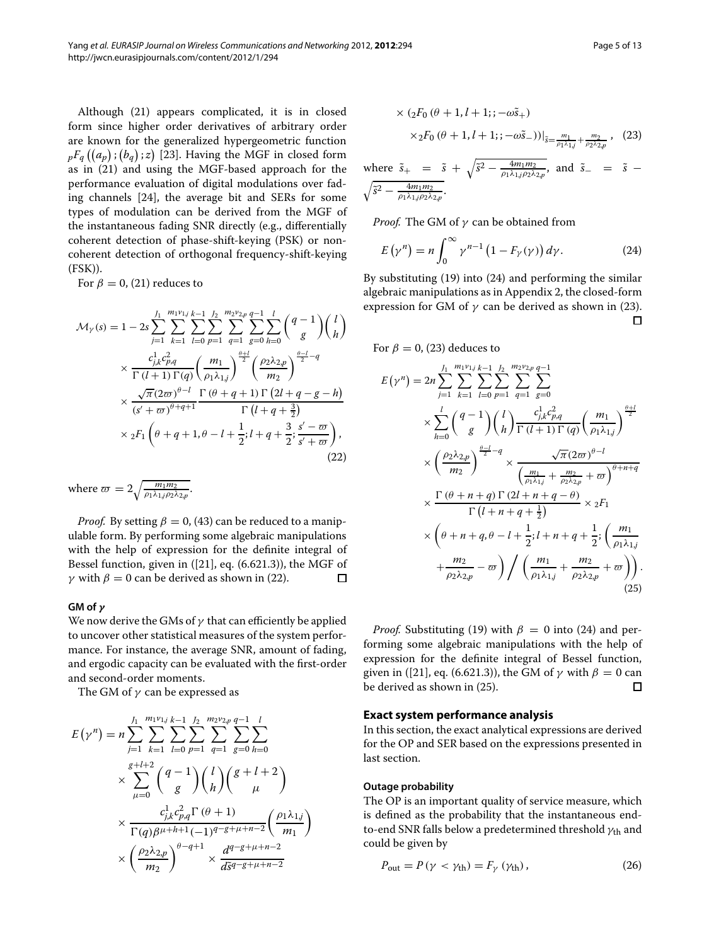Although [\(21\)](#page-3-4) appears complicated, it is in closed form since higher order derivatives of arbitrary order are known for the generalized hypergeometric function  ${}_{p}F_{q}\left(\left(a_{p}\right);\left(b_{q}\right);z\right)$  [\[23\]](#page-12-21). Having the MGF in closed form as in [\(21\)](#page-3-4) and using the MGF-based approach for the performance evaluation of digital modulations over fading channels [\[24\]](#page-12-22), the average bit and SERs for some types of modulation can be derived from the MGF of the instantaneous fading SNR directly (e.g., differentially coherent detection of phase-shift-keying (PSK) or noncoherent detection of orthogonal frequency-shift-keying (FSK)).

<span id="page-4-1"></span>For  $\beta = 0$ , [\(21\)](#page-3-4) reduces to

$$
\mathcal{M}_{\gamma}(s) = 1 - 2s \sum_{j=1}^{J_1} \sum_{k=1}^{m_1 v_{1,j}} \sum_{l=0}^{k-1} \sum_{p=1}^{J_2} \sum_{q=1}^{m_2 v_{2,p}} \sum_{g=0}^{q-1} \sum_{h=0}^{l} \binom{q-1}{g} \binom{l}{h}
$$

$$
\times \frac{c_{j,k}^1 c_{p,q}^2}{\Gamma(l+1) \Gamma(q)} \left(\frac{m_1}{\rho_1 \lambda_{1,j}}\right)^{\frac{\theta+l}{2}} \left(\frac{\rho_2 \lambda_{2,p}}{m_2}\right)^{\frac{\theta-l}{2}-q}
$$

$$
\times \frac{\sqrt{\pi} (2\varpi)^{\theta-l}}{(s'+\varpi)^{\theta+q+1}} \frac{\Gamma(\theta+q+1) \Gamma(2l+q-g-h)}{\Gamma(l+q+\frac{3}{2})}
$$

$$
\times {}_2F_1 \left(\theta+q+1, \theta-l+\frac{1}{2}; l+q+\frac{3}{2}; \frac{s'-\varpi}{s'+\varpi}\right), \tag{22}
$$

where  $\overline{\omega} = 2 \sqrt{\frac{m_1 m_2}{\rho_1 \lambda_{1,j} \rho_2 \lambda_{2,p}}}$ .

*Proof.* By setting  $\beta = 0$ , [\(43\)](#page-11-3) can be reduced to a manipulable form. By performing some algebraic manipulations with the help of expression for the definite integral of Bessel function, given in ([\[21\]](#page-12-19), eq. (6.621.3)), the MGF of γ with  $β = 0$  can be derived as shown in [\(22\)](#page-4-1).  $\Box$ 

#### **GM of** *γ*

We now derive the GMs of  $\gamma$  that can efficiently be applied to uncover other statistical measures of the system performance. For instance, the average SNR, amount of fading, and ergodic capacity can be evaluated with the first-order and second-order moments.

The GM of  $\gamma$  can be expressed as

$$
E(\gamma^{n}) = n \sum_{j=1}^{J_{1}} \sum_{k=1}^{m_{1}v_{1j}} \sum_{l=0}^{k-1} \sum_{p=1}^{J_{2}} \sum_{q=1}^{m_{2}v_{2p}} \sum_{g=0}^{q-1} \sum_{h=0}^{l}
$$
  
 
$$
\times \sum_{\mu=0}^{g+l+2} {q-1 \choose g} {l \choose h} {g+l+2 \choose \mu}
$$
  
 
$$
\times \frac{c_{j,k}^{1}c_{p,q}^{2} \Gamma(\theta+1)}{\Gamma(q)\beta^{\mu+h+1}(-1)^{q-g+\mu+n-2}} \left(\frac{\rho_{1}\lambda_{1,j}}{m_{1}}\right)
$$
  
 
$$
\times \left(\frac{\rho_{2}\lambda_{2,p}}{m_{2}}\right)^{\theta-q+1} \times \frac{d^{q-g+\mu+n-2}}{d\bar{s}^{q-g+\mu+n-2}}
$$

<span id="page-4-3"></span>
$$
\times (2F_0 (\theta + 1, l + 1; ; -\omega \tilde{s}_+)
$$
  
 
$$
\times 2F_0 (\theta + 1, l + 1; ; -\omega \tilde{s}_-) )|_{\tilde{s} = \frac{m_1}{\rho_1 \lambda_1 j} + \frac{m_2}{\rho_2 \lambda_2 \rho}}, (23)
$$

where 
$$
\tilde{s}_+ = \tilde{s} + \sqrt{\tilde{s}^2 - \frac{4m_1m_2}{\rho_1\lambda_{1,j}\rho_2\lambda_{2,p}}}
$$
, and  $\tilde{s}_- = \tilde{s} - \sqrt{\tilde{s}^2 - \frac{4m_1m_2}{\rho_1\lambda_{1,j}\rho_2\lambda_{2,p}}}$ .

*Proof.* The GM of  $\gamma$  can be obtained from

<span id="page-4-2"></span>
$$
E(\gamma^n) = n \int_0^\infty \gamma^{n-1} \left(1 - F_\gamma(\gamma)\right) d\gamma. \tag{24}
$$

By substituting [\(19\)](#page-3-2) into [\(24\)](#page-4-2) and performing the similar algebraic manipulations as in [Appendix 2,](#page-11-2) the closed-form expression for GM of  $\gamma$  can be derived as shown in [\(23\)](#page-4-3).  $\Box$ 

For  $\beta = 0$ , [\(23\)](#page-4-3) deduces to

$$
E(\gamma^{n}) = 2n \sum_{j=1}^{J_{1}} \sum_{k=1}^{m_{1}v_{1j}} \sum_{l=0}^{k-1} \sum_{p=1}^{J_{2}} \sum_{q=1}^{m_{2}v_{2,p}} \sum_{q=0}^{q-1}
$$
  
\n
$$
\times \sum_{h=0}^{l} {q-1 \choose g} {l \choose h} \frac{c_{j,k}^{1}c_{p,q}^{2}}{\Gamma(l+1)\Gamma(q)} \left(\frac{m_{1}}{\rho_{1}\lambda_{1,j}}\right)^{\frac{\theta+l}{2}}
$$
  
\n
$$
\times \left(\frac{\rho_{2}\lambda_{2,p}}{m_{2}}\right)^{\frac{\theta-l}{2}-q} \times \frac{\sqrt{\pi}(2\varpi)^{\theta-l}}{\left(\frac{m_{1}}{\rho_{1}\lambda_{1,j}} + \frac{m_{2}}{\rho_{2}\lambda_{2,p}} + \varpi\right)^{\theta+n+q}}
$$
  
\n
$$
\times \frac{\Gamma(\theta+n+q)\Gamma(2l+n+q-\theta)}{\Gamma(l+n+q+\frac{1}{2})} \times {}_{2}F_{1}
$$
  
\n
$$
\times \left(\theta+n+q, \theta-l+\frac{1}{2}; l+n+q+\frac{1}{2}; \left(\frac{m_{1}}{\rho_{1}\lambda_{1,j}} + \frac{m_{2}}{\rho_{2}\lambda_{2,p}} - \varpi\right) / \left(\frac{m_{1}}{\rho_{1}\lambda_{1,j}} + \frac{m_{2}}{\rho_{2}\lambda_{2,p}} + \varpi\right)\right).
$$
\n(25)

<span id="page-4-4"></span>*Proof.* Substituting [\(19\)](#page-3-2) with  $\beta = 0$  into [\(24\)](#page-4-2) and performing some algebraic manipulations with the help of expression for the definite integral of Bessel function, given in ([\[21\]](#page-12-19), eq. (6.621.3)), the GM of  $\gamma$  with  $\beta = 0$  can be derived as shown in (25). be derived as shown in [\(25\)](#page-4-4).

# <span id="page-4-0"></span>**Exact system performance analysis**

In this section, the exact analytical expressions are derived for the OP and SER based on the expressions presented in last section.

### **Outage probability**

The OP is an important quality of service measure, which is defined as the probability that the instantaneous endto-end SNR falls below a predetermined threshold  $\gamma_{\rm th}$  and could be given by

<span id="page-4-5"></span>
$$
P_{\text{out}} = P(\gamma < \gamma_{\text{th}}) = F_{\gamma}(\gamma_{\text{th}}),\tag{26}
$$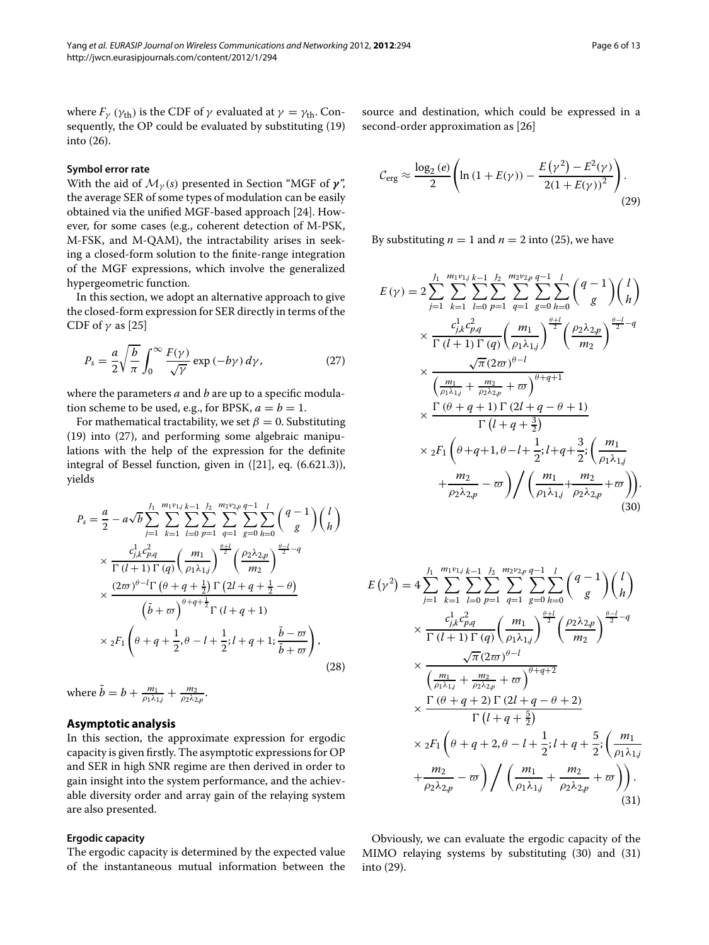where  $F_{\gamma}$  ( $\gamma_{\text{th}}$ ) is the CDF of  $\gamma$  evaluated at  $\gamma = \gamma_{\text{th}}$ . Consequently, the OP could be evaluated by substituting [\(19\)](#page-3-2) into [\(26\)](#page-4-5).

### <span id="page-5-5"></span>**Symbol error rate**

With the aid of  $\mathcal{M}_{\gamma}(s)$  presented in Section ["MGF of](#page-3-5)  $\gamma$ ", the average SER of some types of modulation can be easily obtained via the unified MGF-based approach [\[24\]](#page-12-22). However, for some cases (e.g., coherent detection of M-PSK, M-FSK, and M-QAM), the intractability arises in seeking a closed-form solution to the finite-range integration of the MGF expressions, which involve the generalized hypergeometric function.

In this section, we adopt an alternative approach to give the closed-form expression for SER directly in terms of the CDF of  $\gamma$  as [\[25\]](#page-12-23)

$$
P_s = \frac{a}{2} \sqrt{\frac{b}{\pi}} \int_0^\infty \frac{F(\gamma)}{\sqrt{\gamma}} \exp\left(-b\gamma\right) d\gamma,\tag{27}
$$

where the parameters *a* and *b* are up to a specific modulation scheme to be used, e.g., for BPSK,  $a = b = 1$ .

For mathematical tractability, we set  $\beta = 0$ . Substituting [\(19\)](#page-3-2) into [\(27\)](#page-5-1), and performing some algebraic manipulations with the help of the expression for the definite integral of Bessel function, given in ([\[21\]](#page-12-19), eq. (6.621.3)), yields

$$
P_s = \frac{a}{2} - a\sqrt{b} \sum_{j=1}^{J_1} \sum_{k=1}^{m_1 v_{1j}} \sum_{l=0}^{k-1} \sum_{p=1}^{J_2} \sum_{q=1}^{m_2 v_{2p}} \sum_{g=0}^{q-1} \sum_{h=0}^{l} \binom{q-1}{g} \binom{l}{h}
$$
  
\n
$$
\times \frac{c_{j,k}^1 c_{p,q}^2}{\Gamma(l+1)\Gamma(q)} \binom{m_1}{\rho_1 \lambda_{1j}}^{\frac{\rho+1}{2}} \binom{\rho_2 \lambda_{2,p}}{m_2}^{\frac{\rho-1}{2}-q}
$$
  
\n
$$
\times \frac{(2\varpi)^{\theta-l}\Gamma(\theta+q+\frac{1}{2})\Gamma(2l+q+\frac{1}{2}-\theta)}{\left(\tilde{b}+\varpi\right)^{\theta+q+\frac{1}{2}}\Gamma(l+q+1)}
$$
  
\n
$$
\times {}_2F_1 \left(\theta+q+\frac{1}{2},\theta-l+\frac{1}{2};l+q+1;\frac{\tilde{b}-\varpi}{\tilde{b}+\varpi}\right), \tag{28}
$$

where 
$$
\tilde{b} = b + \frac{m_1}{\rho_1 \lambda_{1,j}} + \frac{m_2}{\rho_2 \lambda_{2,p}}
$$
.

# <span id="page-5-0"></span>**Asymptotic analysis**

In this section, the approximate expression for ergodic capacity is given firstly. The asymptotic expressions for OP and SER in high SNR regime are then derived in order to gain insight into the system performance, and the achievable diversity order and array gain of the relaying system are also presented.

#### **Ergodic capacity**

The ergodic capacity is determined by the expected value of the instantaneous mutual information between the source and destination, which could be expressed in a second-order approximation as [\[26\]](#page-12-24)

<span id="page-5-4"></span>
$$
C_{\text{erg}} \approx \frac{\log_2(e)}{2} \left( \ln \left( 1 + E(\gamma) \right) - \frac{E(\gamma^2) - E^2(\gamma)}{2(1 + E(\gamma))^2} \right).
$$
 (29)

By substituting  $n = 1$  and  $n = 2$  into [\(25\)](#page-4-4), we have

<span id="page-5-1"></span>
$$
E(\gamma) = 2 \sum_{j=1}^{J_1} \sum_{k=1}^{m_1 \gamma_{1,j}} \sum_{l=0}^{K-1} \sum_{p=1}^{J_2} \sum_{q=1}^{m_2 \gamma_{2,p}} \sum_{q=0}^{q-1} \sum_{h=0}^{l} \binom{q-1}{g} \binom{l}{h}
$$
  
\n
$$
\times \frac{c_{j,k}^1 c_{p,q}^2}{\Gamma(l+1) \Gamma(q)} \left(\frac{m_1}{\rho_1 \lambda_{1,j}}\right)^{\frac{\theta+l}{2}} \left(\frac{\rho_2 \lambda_{2,p}}{m_2}\right)^{\frac{\theta-l}{2}-q}
$$
  
\n
$$
\times \frac{\sqrt{\pi}(2\varpi)^{\theta-l}}{\binom{m_1}{\rho_1 \lambda_{1,j}} + \frac{m_2}{\rho_2 \lambda_{2,p}} + \varpi} \sum_{r=1}^{m_1} \frac{\Gamma(\theta+q+1) \Gamma(2l+q-\theta+1)}{\Gamma(l+q+\frac{3}{2})}
$$
  
\n
$$
\times {}_2F_1 \left(\theta+q+1, \theta-l+\frac{1}{2}; l+q+\frac{3}{2}; \left(\frac{m_1}{\rho_1 \lambda_{1,j}}\right) + \frac{m_2}{\rho_2 \lambda_{2,p}} - \varpi\right) / \left(\frac{m_1}{\rho_1 \lambda_{1,j}} + \frac{m_2}{\rho_2 \lambda_{2,p}} + \varpi\right).
$$
\n(30)

<span id="page-5-2"></span>
$$
E(\gamma^2) = 4 \sum_{j=1}^{J_1} \sum_{k=1}^{m_1 v_{1j}} \sum_{l=0}^{k-1} \sum_{p=1}^{J_2} \sum_{q=1}^{m_2 v_{2p}} \sum_{g=0}^{q-1} \sum_{h=0}^{l} {q-1 \choose g} {l \choose h}
$$
  
\n
$$
\times \frac{c_{j,k}^1 c_{p,q}^2}{\Gamma(l+1) \Gamma(q)} \left(\frac{m_1}{\rho_1 \lambda_{1,j}}\right)^{\frac{\theta+1}{2}} \left(\frac{\rho_2 \lambda_{2,p}}{m_2}\right)^{\frac{\theta-l}{2}-q}
$$
  
\n
$$
\times \frac{\sqrt{\pi} (2\omega)^{\theta-l}}{\left(\frac{m_1}{\rho_1 \lambda_{1,j}} + \frac{m_2}{\rho_2 \lambda_{2,p}} + \omega\right)^{\theta+q+2}}
$$
  
\n
$$
\times \frac{\Gamma(\theta+q+2) \Gamma(2l+q-\theta+2)}{\Gamma(l+q+\frac{5}{2})}
$$
  
\n
$$
\times {}_2F_1 \left(\theta+q+2, \theta-l+\frac{1}{2}; l+q+\frac{5}{2}; \left(\frac{m_1}{\rho_1 \lambda_{1,j}}\right) + \frac{m_2}{\rho_2 \lambda_{2,p}} - \omega\right) / \left(\frac{m_1}{\rho_1 \lambda_{1,j}} + \frac{m_2}{\rho_2 \lambda_{2,p}} + \omega\right).
$$
  
\n(31)

<span id="page-5-3"></span>Obviously, we can evaluate the ergodic capacity of the MIMO relaying systems by substituting [\(30\)](#page-5-2) and [\(31\)](#page-5-3) into [\(29\)](#page-5-4).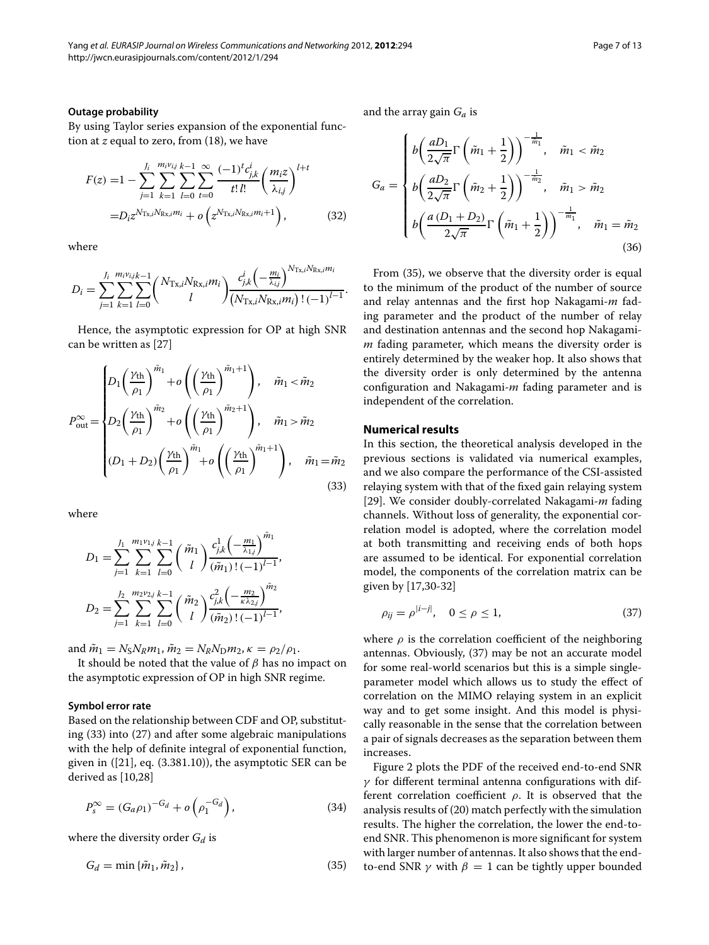By using Taylor series expansion of the exponential function at *z* equal to zero, from [\(18\)](#page-3-6), we have

$$
F(z) = 1 - \sum_{j=1}^{J_i} \sum_{k=1}^{m_i v_{ij}} \sum_{l=0}^{k-1} \sum_{t=0}^{\infty} \frac{(-1)^t c_{j,k}^i}{t! l!} \left(\frac{m_i z}{\lambda_{i,j}}\right)^{l+t}
$$

$$
= D_i z^{N_{\text{Tx},i} N_{\text{Rx},i} m_i} + o\left(z^{N_{\text{Tx},i} N_{\text{Rx},i} m_i + 1}\right), \tag{32}
$$

where

$$
D_i = \sum_{j=1}^{J_i} \sum_{k=1}^{m_i v_{i,j} k-1} \binom{N_{\text{Tx},i} N_{\text{Rx},i} m_i}{l} \frac{c_{j,k}^i \left(-\frac{m_i}{\lambda_{i,j}}\right)^{N_{\text{Tx},i} N_{\text{Rx},i} m_i}}{\left(N_{\text{Tx},i} N_{\text{Rx},i} m_i\right) \left(1 - 1\right)^{l-1}}.
$$

Hence, the asymptotic expression for OP at high SNR can be written as [\[27\]](#page-12-25)

$$
P_{\text{out}}^{\infty} = \begin{cases} D_1 \left( \frac{\gamma_{\text{th}}}{\rho_1} \right)^{\tilde{m}_1} + o \left( \left( \frac{\gamma_{\text{th}}}{\rho_1} \right)^{\tilde{m}_1 + 1} \right), & \tilde{m}_1 < \tilde{m}_2 \\ D_2 \left( \frac{\gamma_{\text{th}}}{\rho_1} \right)^{\tilde{m}_2} + o \left( \left( \frac{\gamma_{\text{th}}}{\rho_1} \right)^{\tilde{m}_2 + 1} \right), & \tilde{m}_1 > \tilde{m}_2 \\ (D_1 + D_2) \left( \frac{\gamma_{\text{th}}}{\rho_1} \right)^{\tilde{m}_1} + o \left( \left( \frac{\gamma_{\text{th}}}{\rho_1} \right)^{\tilde{m}_1 + 1} \right), & \tilde{m}_1 = \tilde{m}_2 \end{cases}
$$
(33)

where

$$
D_1 = \sum_{j=1}^{J_1} \sum_{k=1}^{m_1 v_{1j}} \sum_{l=0}^{k-1} {\tilde{m}_1 \choose l} \frac{c_{j,k}^1 \left(-\frac{m_1}{\lambda_{1j}}\right)^{\tilde{m}_1}}{(\tilde{m}_1)!(-1)^{l-1}},
$$
  

$$
D_2 = \sum_{j=1}^{J_2} \sum_{k=1}^{m_2 v_{2j}} \sum_{l=0}^{k-1} {\tilde{m}_2 \choose l} \frac{c_{j,k}^2 \left(-\frac{m_2}{\kappa \lambda_{2j}}\right)^{\tilde{m}_2}}{(\tilde{m}_2)!(-1)^{l-1}},
$$

and  $\tilde{m}_1 = N_S N_R m_1$ ,  $\tilde{m}_2 = N_R N_D m_2$ ,  $\kappa = \rho_2 / \rho_1$ .

It should be noted that the value of  $\beta$  has no impact on the asymptotic expression of OP in high SNR regime.

#### **Symbol error rate**

Based on the relationship between CDF and OP, substituting [\(33\)](#page-6-1) into [\(27\)](#page-5-1) and after some algebraic manipulations with the help of definite integral of exponential function, given in ([\[21\]](#page-12-19), eq. (3.381.10)), the asymptotic SER can be derived as [\[10,](#page-12-8)[28\]](#page-12-26)

$$
P_s^{\infty} = (G_a \rho_1)^{-G_d} + o\left(\rho_1^{-G_d}\right),\tag{34}
$$

where the diversity order *Gd* is

$$
G_d = \min \{ \tilde{m}_1, \tilde{m}_2 \},\tag{35}
$$

and the array gain *Ga* is

$$
G_a = \begin{cases} b\left(\frac{aD_1}{2\sqrt{\pi}}\Gamma\left(\tilde{m}_1 + \frac{1}{2}\right)\right)^{-\frac{1}{\tilde{m}_1}}, & \tilde{m}_1 < \tilde{m}_2\\ b\left(\frac{aD_2}{2\sqrt{\pi}}\Gamma\left(\tilde{m}_2 + \frac{1}{2}\right)\right)^{-\frac{1}{\tilde{m}_2}}, & \tilde{m}_1 > \tilde{m}_2\\ b\left(\frac{a(D_1 + D_2)}{2\sqrt{\pi}}\Gamma\left(\tilde{m}_1 + \frac{1}{2}\right)\right)^{-\frac{1}{\tilde{m}_1}}, & \tilde{m}_1 = \tilde{m}_2 \end{cases}
$$
(36)

From [\(35\)](#page-6-2), we observe that the diversity order is equal to the minimum of the product of the number of source and relay antennas and the first hop Nakagami-*m* fading parameter and the product of the number of relay and destination antennas and the second hop Nakagami*m* fading parameter, which means the diversity order is entirely determined by the weaker hop. It also shows that the diversity order is only determined by the antenna configuration and Nakagami-*m* fading parameter and is independent of the correlation.

## <span id="page-6-0"></span>**Numerical results**

<span id="page-6-1"></span>In this section, the theoretical analysis developed in the previous sections is validated via numerical examples, and we also compare the performance of the CSI-assisted relaying system with that of the fixed gain relaying system [\[29\]](#page-12-27). We consider doubly-correlated Nakagami-*m* fading channels. Without loss of generality, the exponential correlation model is adopted, where the correlation model at both transmitting and receiving ends of both hops are assumed to be identical. For exponential correlation model, the components of the correlation matrix can be given by [\[17,](#page-12-15)[30](#page-12-28)[-32\]](#page-12-29)

<span id="page-6-3"></span>
$$
\rho_{ij} = \rho^{|i-j|}, \quad 0 \le \rho \le 1,
$$
\n(37)

where  $\rho$  is the correlation coefficient of the neighboring antennas. Obviously, [\(37\)](#page-6-3) may be not an accurate model for some real-world scenarios but this is a simple singleparameter model which allows us to study the effect of correlation on the MIMO relaying system in an explicit way and to get some insight. And this model is physically reasonable in the sense that the correlation between a pair of signals decreases as the separation between them increases.

<span id="page-6-2"></span>Figure [2](#page-7-0) plots the PDF of the received end-to-end SNR  $\gamma$  for different terminal antenna configurations with different correlation coefficient  $\rho$ . It is observed that the analysis results of [\(20\)](#page-3-3) match perfectly with the simulation results. The higher the correlation, the lower the end-toend SNR. This phenomenon is more significant for system with larger number of antennas. It also shows that the endto-end SNR  $\gamma$  with  $\beta = 1$  can be tightly upper bounded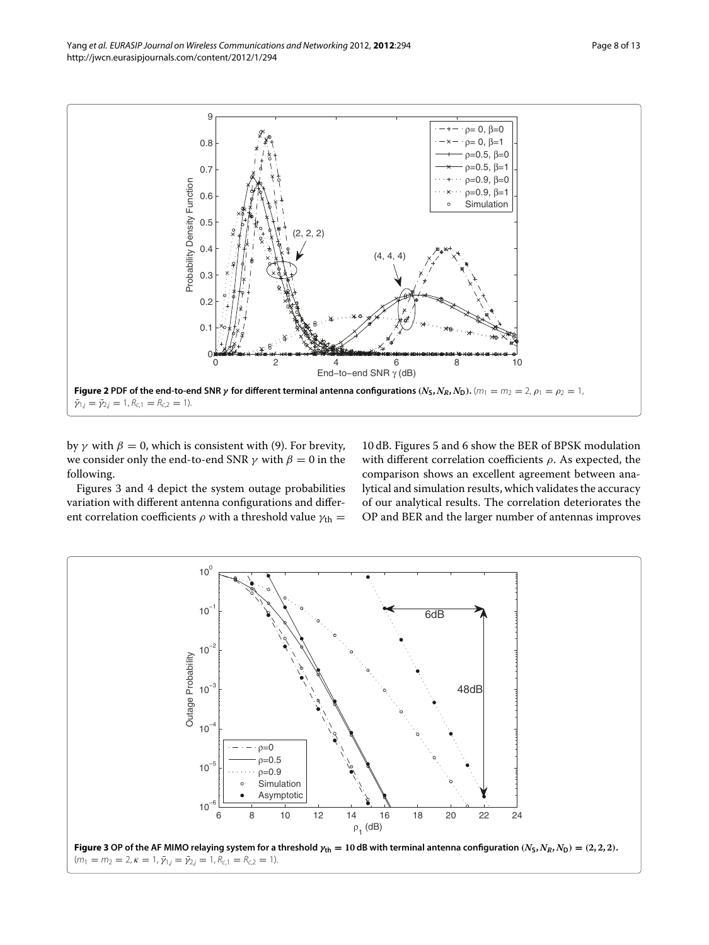

<span id="page-7-0"></span> $\bar{\gamma}_{1,j} = \bar{\gamma}_{2,j} = 1, R_{c,1} = R_{c,2} = 1.$ 

by  $\gamma$  with  $\beta = 0$ , which is consistent with [\(9\)](#page-2-6). For brevity, we consider only the end-to-end SNR  $\gamma$  with  $\beta = 0$  in the following.

Figures [3](#page-7-1) and [4](#page-8-0) depict the system outage probabilities variation with different antenna configurations and different correlation coefficients  $\rho$  with a threshold value  $\gamma_{\text{th}} =$ 

10 dB. Figures [5](#page-8-1) and [6](#page-9-0) show the BER of BPSK modulation with different correlation coefficients  $\rho$ . As expected, the comparison shows an excellent agreement between analytical and simulation results, which validates the accuracy of our analytical results. The correlation deteriorates the OP and BER and the larger number of antennas improves

<span id="page-7-1"></span>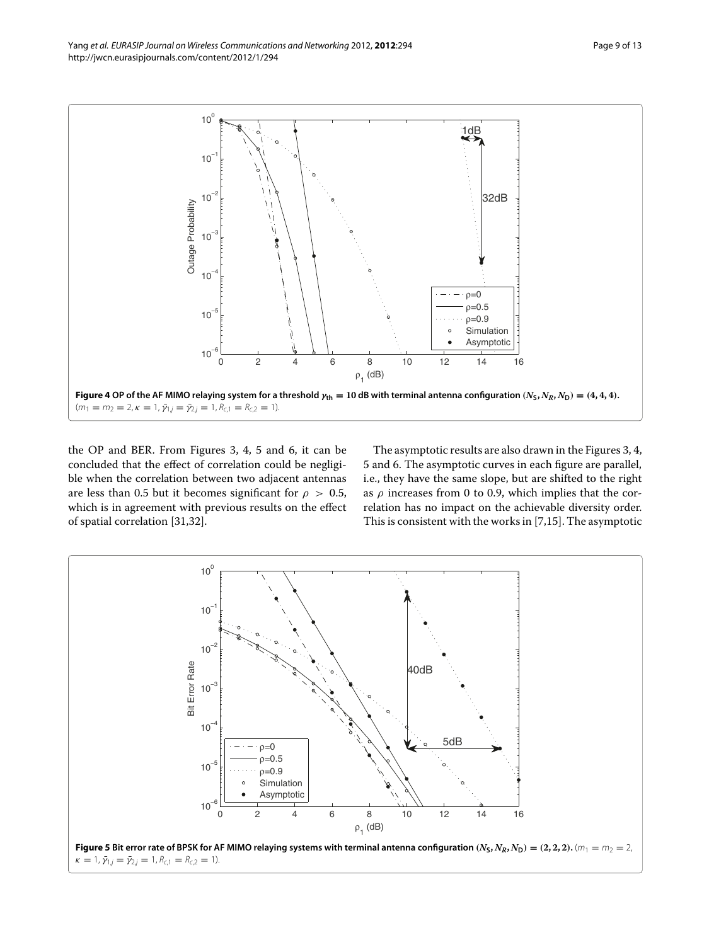

<span id="page-8-0"></span>the OP and BER. From Figures [3,](#page-7-1) [4,](#page-8-0) [5](#page-8-1) and [6,](#page-9-0) it can be concluded that the effect of correlation could be negligible when the correlation between two adjacent antennas are less than 0.5 but it becomes significant for  $\rho > 0.5$ , which is in agreement with previous results on the effect of spatial correlation [\[31](#page-12-30)[,32\]](#page-12-29).

The asymptotic results are also drawn in the Figures [3,](#page-7-1) [4,](#page-8-0) [5](#page-8-1) and [6.](#page-9-0) The asymptotic curves in each figure are parallel, i.e., they have the same slope, but are shifted to the right as  $\rho$  increases from 0 to 0.9, which implies that the correlation has no impact on the achievable diversity order. This is consistent with the works in [\[7,](#page-12-31)[15\]](#page-12-10). The asymptotic

<span id="page-8-1"></span>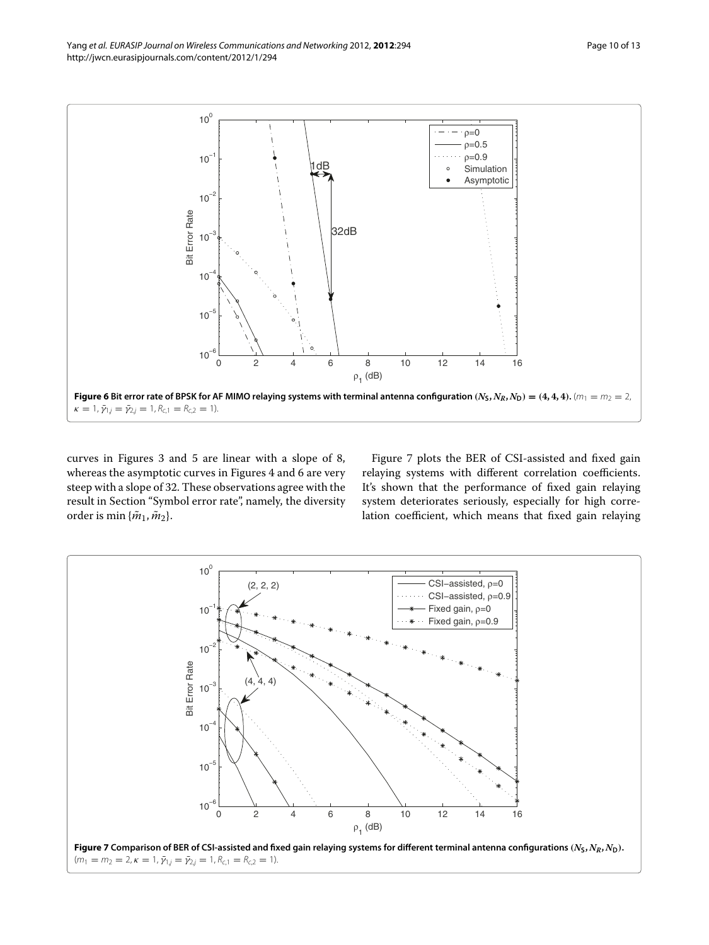

<span id="page-9-0"></span>curves in Figures [3](#page-7-1) and [5](#page-8-1) are linear with a slope of 8, whereas the asymptotic curves in Figures [4](#page-8-0) and [6](#page-9-0) are very steep with a slope of 32. These observations agree with the result in Section ["Symbol error rate"](#page-5-5), namely, the diversity order is min  $\{\tilde{m}_1, \tilde{m}_2\}.$ 

Figure [7](#page-9-1) plots the BER of CSI-assisted and fixed gain relaying systems with different correlation coefficients. It's shown that the performance of fixed gain relaying system deteriorates seriously, especially for high correlation coefficient, which means that fixed gain relaying

<span id="page-9-1"></span>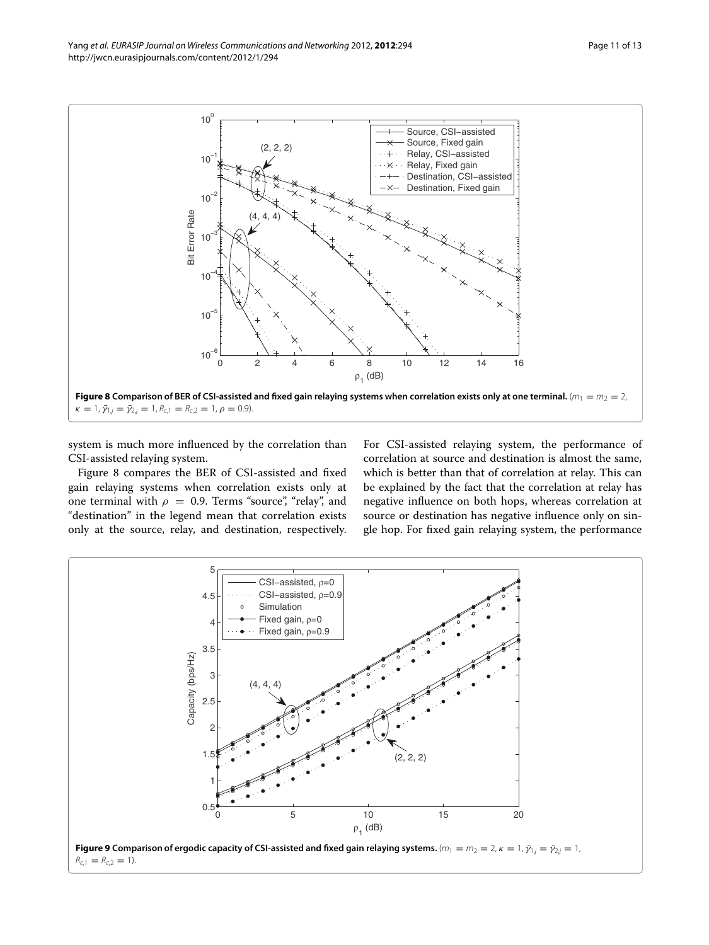

<span id="page-10-0"></span>system is much more influenced by the correlation than CSI-assisted relaying system.

Figure [8](#page-10-0) compares the BER of CSI-assisted and fixed gain relaying systems when correlation exists only at one terminal with  $\rho = 0.9$ . Terms "source", "relay", and "destination" in the legend mean that correlation exists only at the source, relay, and destination, respectively.

For CSI-assisted relaying system, the performance of correlation at source and destination is almost the same, which is better than that of correlation at relay. This can be explained by the fact that the correlation at relay has negative influence on both hops, whereas correlation at source or destination has negative influence only on single hop. For fixed gain relaying system, the performance

<span id="page-10-1"></span>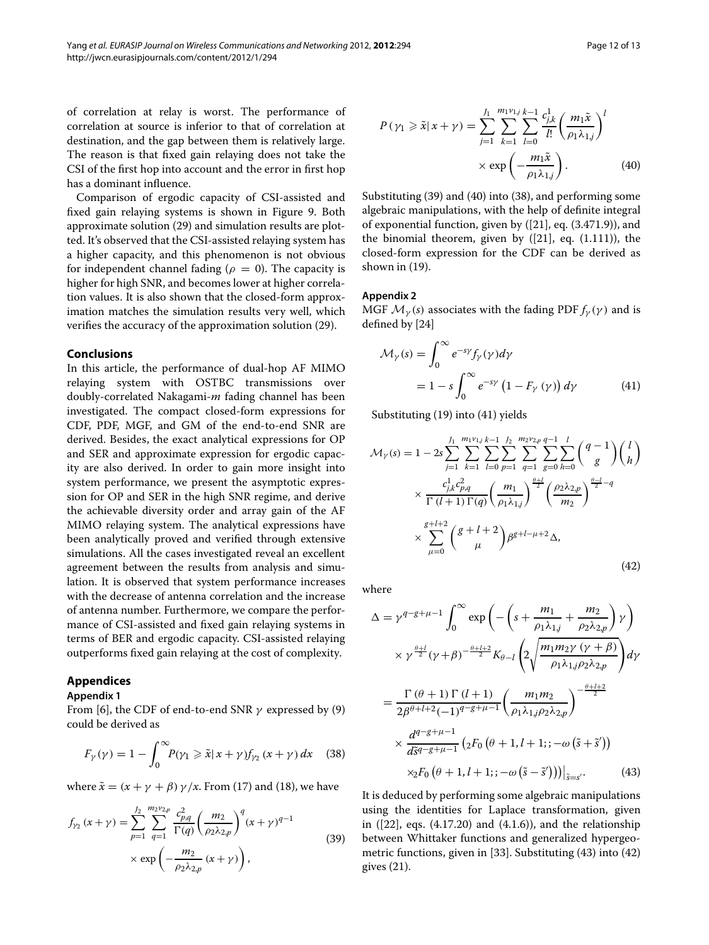of correlation at relay is worst. The performance of correlation at source is inferior to that of correlation at destination, and the gap between them is relatively large. The reason is that fixed gain relaying does not take the CSI of the first hop into account and the error in first hop has a dominant influence.

Comparison of ergodic capacity of CSI-assisted and fixed gain relaying systems is shown in Figure [9.](#page-10-1) Both approximate solution [\(29\)](#page-5-4) and simulation results are plotted. It's observed that the CSI-assisted relaying system has a higher capacity, and this phenomenon is not obvious for independent channel fading ( $\rho = 0$ ). The capacity is higher for high SNR, and becomes lower at higher correlation values. It is also shown that the closed-form approximation matches the simulation results very well, which verifies the accuracy of the approximation solution [\(29\)](#page-5-4).

# <span id="page-11-0"></span>**Conclusions**

In this article, the performance of dual-hop AF MIMO relaying system with OSTBC transmissions over doubly-correlated Nakagami-*m* fading channel has been investigated. The compact closed-form expressions for CDF, PDF, MGF, and GM of the end-to-end SNR are derived. Besides, the exact analytical expressions for OP and SER and approximate expression for ergodic capacity are also derived. In order to gain more insight into system performance, we present the asymptotic expression for OP and SER in the high SNR regime, and derive the achievable diversity order and array gain of the AF MIMO relaying system. The analytical expressions have been analytically proved and verified through extensive simulations. All the cases investigated reveal an excellent agreement between the results from analysis and simulation. It is observed that system performance increases with the decrease of antenna correlation and the increase of antenna number. Furthermore, we compare the performance of CSI-assisted and fixed gain relaying systems in terms of BER and ergodic capacity. CSI-assisted relaying outperforms fixed gain relaying at the cost of complexity.

# **Appendices**

# <span id="page-11-1"></span>**Appendix 1**

From [\[6\]](#page-12-5), the CDF of end-to-end SNR  $\gamma$  expressed by [\(9\)](#page-2-6) could be derived as

$$
F_{\gamma}(\gamma) = 1 - \int_0^{\infty} P(\gamma_1 \geq \tilde{x} | x + \gamma) f_{\gamma_2}(x + \gamma) dx \quad (38)
$$

where  $\tilde{x} = (x + y + \beta) y / x$ . From [\(17\)](#page-3-7) and [\(18\)](#page-3-6), we have

$$
f_{\gamma_2}(x+\gamma) = \sum_{p=1}^{J_2} \sum_{q=1}^{m_2 \nu_{2,p}} \frac{c_{p,q}^2}{\Gamma(q)} \left(\frac{m_2}{\rho_2 \lambda_{2,p}}\right)^q (x+\gamma)^{q-1} \times \exp\left(-\frac{m_2}{\rho_2 \lambda_{2,p}}(x+\gamma)\right),
$$
\n(39)

<span id="page-11-5"></span>
$$
P(\gamma_1 \geq \tilde{x}|x+\gamma) = \sum_{j=1}^{J_1} \sum_{k=1}^{m_1 v_{1j}} \sum_{l=0}^{k-1} \frac{c_{j,k}^1}{l!} \left(\frac{m_1 \tilde{x}}{\rho_1 \lambda_{1,j}}\right)^l
$$

$$
\times \exp\left(-\frac{m_1 \tilde{x}}{\rho_1 \lambda_{1,j}}\right). \tag{40}
$$

Substituting [\(39\)](#page-11-4) and [\(40\)](#page-11-5) into [\(38\)](#page-11-6), and performing some algebraic manipulations, with the help of definite integral of exponential function, given by ([\[21\]](#page-12-19), eq. (3.471.9)), and the binomial theorem, given by ([\[21\]](#page-12-19), eq. (1.111)), the closed-form expression for the CDF can be derived as shown in [\(19\)](#page-3-2).

# <span id="page-11-2"></span>**Appendix 2**

MGF  $\mathcal{M}_{\gamma}(s)$  associates with the fading PDF  $f_{\gamma}(\gamma)$  and is defined by [\[24\]](#page-12-22)

<span id="page-11-7"></span>
$$
\mathcal{M}_{\gamma}(s) = \int_0^{\infty} e^{-s\gamma} f_{\gamma}(\gamma) d\gamma
$$
  
=  $1 - s \int_0^{\infty} e^{-s\gamma} (1 - F_{\gamma}(\gamma)) d\gamma$  (41)

<span id="page-11-8"></span>Substituting [\(19\)](#page-3-2) into [\(41\)](#page-11-7) yields

$$
\mathcal{M}_{\gamma}(s) = 1 - 2s \sum_{j=1}^{J_1} \sum_{k=1}^{m_1 v_{1j}} \sum_{l=0}^{k-1} \sum_{p=1}^{J_2} \sum_{q=1}^{m_2 v_{2,p}} \sum_{g=0}^{q-1} \sum_{h=0}^{l} \binom{q-1}{g} \binom{l}{h}
$$

$$
\times \frac{c_{j,k}^1 c_{p,q}^2}{\Gamma(l+1) \Gamma(q)} \left(\frac{m_1}{\rho_1 \lambda_{1,j}}\right)^{\frac{\theta+1}{2}} \left(\frac{\rho_2 \lambda_{2,p}}{m_2}\right)^{\frac{\theta-1}{2}-q}
$$

$$
\times \sum_{\mu=0}^{g+l+2} \binom{g+l+2}{\mu} \beta^{g+l-\mu+2} \Delta,
$$
\n(42)

where

$$
\Delta = \gamma^{q-g+\mu-1} \int_0^{\infty} \exp\left(-\left(s + \frac{m_1}{\rho_1 \lambda_{1,j}} + \frac{m_2}{\rho_2 \lambda_{2,p}}\right) \gamma\right) \times \gamma^{\frac{\theta+l}{2}} (\gamma + \beta)^{-\frac{\theta+l+2}{2}} K_{\theta-l} \left(2 \sqrt{\frac{m_1 m_2 \gamma (\gamma + \beta)}{\rho_1 \lambda_{1,j} \rho_2 \lambda_{2,p}}}\right) d\gamma = \frac{\Gamma(\theta + 1) \Gamma(l+1)}{2\beta^{\theta+l+2}(-1)^{q-g+\mu-1}} \left(\frac{m_1 m_2}{\rho_1 \lambda_{1,j} \rho_2 \lambda_{2,p}}\right)^{-\frac{\theta+l+2}{2}} \times \frac{d^{q-g+\mu-1}}{d\tilde{s}^{q-g+\mu-1}} \left(2F_0\left(\theta + 1, l+1; -\omega\left(\tilde{s} + \tilde{s}'\right)\right)\right)_{\tilde{s}=s'}.
$$
(43)

<span id="page-11-6"></span><span id="page-11-4"></span><span id="page-11-3"></span>It is deduced by performing some algebraic manipulations using the identities for Laplace transformation, given in ([\[22\]](#page-12-20), eqs. (4.17.20) and (4.1.6)), and the relationship between Whittaker functions and generalized hypergeometric functions, given in [\[33\]](#page-12-32). Substituting [\(43\)](#page-11-3) into [\(42\)](#page-11-8) gives [\(21\)](#page-3-4).